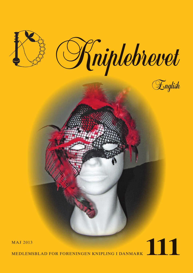

MedleMsblAd for foreningen knipling i dAnMArk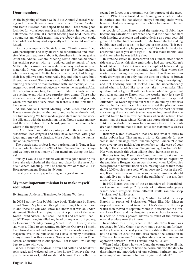## **Dear members**

At the beginning of March we held our Annual General Meeting in Horsens. It was a good place, which Connie Gerlach and Bente Eskerod had helped us to find. There were good facilities for workshops, stands and exhibitions. In the banquet hall, where the Annual General Meeting was held, there was a sound system, which meant that everybody this year, could hear what was being said, especially after the sound were adjusted.

Both workshops, with 3-pair lace and Chantilly were filled with participants and they all worked concentrated and intensive. You can read more about it, elsewhere in this magazine. After the Annual General Meeting Mette Julie talked about her exciting project with re - updated and re-launch of lace: Mette Julie is using lace in a different way and in unusual materials. It was very interesting to see. The lace makers, who is working with Mette Julie on the project, had brought their lace pillows, some were really big, and others were built three-dimensional. There was also a finished model. It is quite amazing, what can be manufactured with lace technique. This I suggest you read more about, elsewhere in the magazine. After the workshops, meeting, lecture and trade in stands, we had an evening event with a lace surprise after dinner. Those who attended, were challenged in making two different grounds, which are not used very often, in fact,this is the first time I have seen them.

At The Annual General Meeting Linda Olsen and Astrid Hansen were elected to the board and we have already held our first meeting. We have made a good start and we are working diligently with the associations tasks. Photos, text, summary and the constitution of the board, you can read about, elsewhere in the magazine

In April, two of our editors participated in the German lace association lace congress and they have returned with good ideas and renewed inspiration. More about this in the next issue of Kniplebrevet.

The boards next project is our participation in Tønder lace festival, which is held 7th – 9th of June. We are there all 3 days and we hope to meet many of our members, during the festival.

Finally, I would like to thank you all for a good meeting. We have already scheduled the date and place for the next Annual General Meeting. It will be held on 29th of March 2014 in Borgerforeningens House in Nyborg.

I wish you all a very good spring and a good summer.

### **My most important mission is to make myself redundant.**

By Susanne Andersen. Translated by Hanne Wolthers

In 2008 I got my first bobbin lace book (Knipling) by Karen Trend Nissen. My husband thought that I might be able to use it, and those of you who know me know that was an understatement. Today I am trying to paint a portrait of the same Karen Trend Nissen – but shall I do that and not least – can I do it? Those thoughts filled my head on my way to Egebjerg by Horsens on Sunday morning March 10 2013. Luckily, it was snowing so I had to concentrate on driving. Otherwise I might have turned around and gone home. Not even when my first magazine was to be published did I have as many butterflies in my stomach as this morning. Now, who is this Karen Trend Nissen, an institution in our sphere? That is what I will do my best to share with you.

When I found the address, Karen had coffee and breakfast rolls ready and welcomed me to her house. I believe she was just as nervous as I, until we started talking. Then both of us seemed to forget that a portrait was the purpose of the meeting. In 1956 Karen finished her training as a ladies' tailor in Aarhus, and she has always enjoyed making crafts work, however, had never imagined that bobbin lace were to be her mission in life.

A couple of times Karen used the sentence: "Bobbin lace became my salvation". First when she told me about her start with knitting, crocheting and embroidering as a four-year old girl and how that hurt her wrists. In 1962 Karen started making bobbin lace and on a visit to her doctor she asked:"Is it possible that lace making helps my wrists?" to which the doctor answered "Yes, if you do it right" – he also made bobbin lace and knew what he was talking about!

In 1958 she settled in Horsens with her Gunnar, after a short side trip to Als. At this time embroidery had captured Karen's heart. At an exhibition Karen saw a couple of ladies making lace and her interest was instantly caught. Next winter she started lace making in a beginner's class. Then there were no work drawings so you only had the dots on a piece of brown carton. Karen was told not to take the "Margretheknipling", and not knowing what it looked like, she understandably asked what it looked like so as not take it by mistake. This question did not go well with her teacher who then gave that particular pattern to Karen with the words: "now let's see if you can figure it out." Well, you don't just throw off a spirited Jutlander- So Karen figured out what to do and by next class she had half a meter lace. This lace received the place of honour in Karen's collection and was sewn onto the most beautiful christening dress. Karen's teacher was so impressed that she offered Karen to take over her classes when she retired. That meant that the next winter Karen was apprenticed, and from 1964 Karen started her own lace-making classes. Three children and husband made Karen settle for maximum 8 classes a week.

Instantly Karen discovered that she had what it takes to make bobbin lace. That meant a trip to Kerteminde for two weeks and a message from Johanne Nyrop Larsen: "Do not ever give up lace-making, but remember to take care of your family". These words became the guiding light in Karen's life. Her voice reveals this when talking about her closest ones.

Besides teaching, Karen also found the time to take on the job as evening school leader, write four books on request by the publishers Borgen. Karen was shocked when 4,000 copies were printed of her first book "Lace-making". Since then more than 20,000 copies have sold. When book no. 2 was in the offing, Karen was even more nervous, because now she should not only live up to her own and the publishers' - but also her readers' - expectations.

In 1979 Karen was one of the co-founders of "Kunsthåndværkersammenslutningen" (Society of craftsmen-designers) where some designers from different crafts ran the shop "Stokværket" in Horsens.

In 1984 Karen and Elsa Høj Madsen founded the shop Karelly in rooms of Stokværket. When Elsa Høj Madsen stopped, Susanne Trend took over Elsa's share of the shop which then moved to separate rooms in Kattesundet in Horsens. Later Karen and her daughter Susanne chose to move the business to Karen's private address as much of the business now takes place over the internet.

In addition to all this, when in the late 90'es Karen was requested by Vejle County to work out a curriculum for lacemaking teachers, she said yes on the condition that she would not be alone. In 2000 the first class started the education in "Classical lace-making". Today this education continues in cooperation between "Dansk Husflid" and "NETOP".

When I asked Karen how she found the energy to do all this, the prompt reply came "I have the desire but also the duty to disseminate my knowledge of our cultural heritage, and my most important mission is to make myself redundant".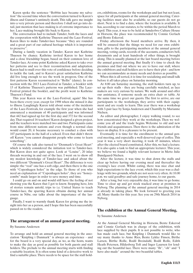Karen spoke the sentence "Bobbin lace became my salvation" the second time when the conversation turned to Karen's illness and Gunnar's untimely death. This talk gave me insight into a very private person and therefore I shall not go into detail, just mention that lace-making is of extreme importance to her. Lace-making brought life back to Karen.

The conversation had to include Tønder, both the laces and the cooperation with Kathrine Thuesen and the Lace-Festival. Karen likes to make Tønder-lace because "they are rounded and a great part of our cultural heritage which it is important to preserve".

During a family vacation in Tønder, Karen met Kathrine Thuesen by chance. Kathrine invited Karen to her home and a close friendship began, based on their common love of Tønder-lace. At some point Kathrine asked Karen to take over her patterns and see to their reconstruction and adaptation. Karen had to mull over this vote of confidence before deciding to tackle the task, and to Karen's great satisfaction Kathrine did live long enough to see the work in progress. One of the first patterns Karen reconstructed is "Bellis" (daisy). In connection with the 2013 Lace-Festival in Tønder, a booklet with 15 of Kathrine Thuesen's patterns was published. The Lace-Festival printed the booklet, and the profit went to Kathrine Thuesen's Fund.

This year Karen was at the Lace-Festival, again! She has been there every year, except for 1998 when she missed it due to illness. Laughingly Karen told about some of the incidents of the Lace-Festivals, for example the first year when she had announced a maximum of 40 participants and was informed that 442 had signed up for the first day and 372 for the second day. That required 16 teachers! Karen designed a given project, and the teachers were matched two and two. Participants came from nine different nations and even though a normal class would count 20, it became necessary to conduct a class with 107 participants in the hall of a school. Even that didn't throw off Karen: "you cannot disappoint people who come to learn something".

Of course the talk also turned to "Denmark's Great Heart" which is widely considered the initiation test to Tønder-lace. But Karen does not quite agree. Look at "Louise", 20 inlay threads weaving in and out of the lace. I went on to show off my modest knowledge of Tønder-lace and asked about the two different "Denmark's Great Heart". The difference is very simple: the "real" one has a soft edge, and then there is the one with "Copenhagen holes" in the edge. To those of you who need an explanation of "Copenhagen holes", they are "honeycombs" made larger in order to save money and time.

I could go on and on and would still have the feeling of not showing you the Karen that I got to know. Stopping here, lots of stories remain untold, trips to i.e. United States to teach Tønder-lace, the sparring Karen obtains during her annual course in Nibe, our talks about the importance of the language.

Finally, I want to warmly thank Karen for giving me the insight into her as a person, and I hope this has been successfully passed on to the readers.

#### **The arrangement of an annual general meeting.**

#### By Susanne Andersen

To arrange and hold an annual general meeting in the association "Knipling i Danmark" is always an experience - and for the board is a very special day, as we, as the hosts, wants to make the day as good as possible for both guests and stall holders. The prelude to the annual meeting starts with finding a suitable location. It is often some kind of a detective work to find a suitable place. There needs to be space for the stall hold-

ers, exhibitions, rooms for the workshops and last but not least, space for all participants at the annual general meeting. Catering facilities must also be available, so our guests do not go short. Next is to find a date, where the location is available. It has, according to our statutes, to be within the period March to April. This year, it was to be held at Sønderbro Culture House in Horsens, the place was recommended by Connie Gerlach and Bente Eskerod.

Friday afternoon the board members arrive. By then, it will be ensured that the things we need for our own exhibition, gifts to the participating members at the annual general meeting, voting cards, records of the accounts, conductors bell, documents and at least hundreds of other things, is brought along. This is usually planned at the last board meeting before the annual general meeting. But finally it's time to check the premises and find out where we are to have our stall, where the exhibitors and stall holders are to have their plot - and how we can accommodate as many needs and desires as possible.

When this is all sorted, it is time for socializing and small talk before it all takes place on Saturday morning.

At 8:00 am Saturday morning, the stall holders turn up, to set up their stalls - they are being carefully watched, as lace makers are very curious by nature. We walk around and offer our assistance, if someone needs an extra chair or table. At the same time we greet our guests. The first to arrive, are our participants to the workshops, they arrive with their equipment and are ready to learn. This year there was a workshop with 3-pair lace by Sonja Andersen and Chantilly by Marianne Nielsen.

As editor and photographer, I enjoy walking round, to see how concentrated they work at the workshops. Then we welcome you all and the trade begins. Welcome to old and new friends and acquaintances. Then there is the admiration of the laces on display. It is a pleasure to be present.

Eventually it is time for the enrollment to the annual general meeting, and especially a well-deserved cup of coffee. This year it was a very short meeting, it took 45 minutes, where after the elected board constituted. After this, we had a lecture. It is also quite a task to find an appropriate lecturer. This year, we believe we found a highly relevant lecturer in Mette Julie Bundgaard-Nielsen.

After the lecture, it was time to shut down the stalls and clear up before having our evening meal and thereafter the evening's lace event. Whilst eating, there was nice chat and high expectations to the lace event, which this year was a challenge with two grounds, which are not seen very often. At 10.00 p.m. we said goodbye and safe journey home, to our guests.

After a long, but very enjoyable day, it was time to go home. Time to clear up and get stock stacked away at premises in Nyborg. The planning of the annual general meeting in 2014 is already in taking place. We look forward to greeting you all. Many thanks for this year. See you on 29th March 2014 in Nyborg.

## **The exhibition at the Annual General Meeting,**

#### by Susanne Andersen

At the Annual General Meeting in Horsens, Bente Eskerod and Connie Gerlach was in charge of the exhibition, with lace supplied by their pupils. It is not possible to write, who has made each lace, but Knipling i Danmark would like to say many thanks to Anne Ries, Bente Lykke Finsen, Birthe Larsen, Birthe Rolle, Bodil Breindahl, Bodil Rolle, Edith Heath Petersen, Hildesborg Toft and Inger Laursen for lending out the beautiful lace. There were many "Ih", "oh" and "I have also made" around the two beautiful tables.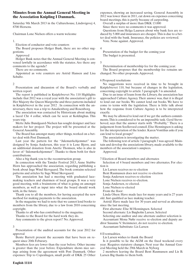# **Minutes from the Annual General Meeting in the Association Knipling I Danmark.**

Saturday 9th March 2013 in the Culturehouse, Lindsvigsvej 4, 8700 Horsens.

Chairman Lone Nielsen offers a warm welcome

#### 1.

Election of conductor and vote counters

The Board proposes Holger Busk, there are no other suggestions.

Approved

Holger Busk notes that the Annual General Meeting is convened lawfully in accordance with the statutes. Are there any comments to the agenda?

There are no comments.

Appointed as vote counters are Astrid Hansen and Lisa Schultz.

#### $\mathcal{D}$

Presentation and discussion of the Board's verbally and written report

The report is published in Kniplebrevet No. 110 Highlights include that 2012 was a royal year with the association's gift to Her Majesty the Queen Margrethe and three patterns included in Kniplebrevet in the year 2012 . In connection with the anniversary, there was a trip to Amalienborg and Rosenborg.

The association was contacted by Historicum about making a laced Chr 4 collar, which can be seen at Koldinghus. This years trip.

Mette Julie Bundgaard-Nielsen has sought designer and lace makers for her project: The project will be presented at the General Assembly.

The Board has amongst many other things, worked on a better deal with Post Danmark.

Last year the pattern for the "Julemærkehjemmet" was designed by Sonja Andersen, this year it is Lene Bjorn, and an additional donation from Anette Thomsen, who is also in favor of "Julemærkehjemmet". Thanks to them both for their contributions.

Also a big thank you to the reconstruction group.

In connection with the Tønder Festival 2013, Anne Stubbe Horn has approached the association, regarding publishing a book about Inge Wind Skovgaard. The book contains selected patterns and articles by Inge Wind Skovgaard.

The association has had a meeting with graduated lacemaking teachers and chairmen of local groups. It was a very good meeting, with a brainstorm of what is going on amongst members, as well as input into what the board should work with, in the future.

Thank you to all the members, for having accepted the new method for making payments to the association.

In the magazine we had to note that we cannot lend books to members from the library, due to a law from 2010 concerning copyright.

Thanks to all who has contributed to the magazine.

Thanks to the Board for the hard work they do.

Any comments to the given report? No. Approved.

3

Presentation of the audited accounts for the year 2012 for approval

Bente Barrett present the accounts that have been on request since 20th Feburary.

Members fees are lower than the year before. Other income is greater than the year before. Expenditure shows nice savings arising from the agreement with Post Danmark. Other expenses: Trip to Copenhagen, small profit of DKK 25 Other

expenses, showing an increased saving. General Assembly in 2012 was lower than in 2011, cut down on expenses concerning board meetings, this is partly because of carpooling.

Overall a surplus of more than DKK 13.000

Since there were no comments it was approved.

Questions from Helga Laursen about why bank fees are reduced by 5.000 and insurances are cheaper. This is due to a bet-

ter deal with the bank. Insurance, the policies are reviewed. Vote. None against. Approved.

4

Presentation of the budget for the coming year The budget is presented.

#### 5

Determination of membership fee for the coming year.

The Board proposes that the membership fee remains unchanged. No other proposals. Approved.

#### 6 Proposed resolutions

No suggestions were received in time to be brought in Kniplebrevet 110, but because of changes in the legislation, concerning copyright to article 3 paragraph 3 is amended.

Due to an issue of loans from the Library, the association has approached Culture Agency. Their answer was, that it is illegal to lend out our books. We cannot lend out books. We have to come to terms with the legislation. There is little talk about how the response from Culture Agency is to be interpreted exactly.

We may be allowed to lend out if we get the authors commitments. This is considered to be an impossible task. Gerd Stevnhoved, says that the answer starts with "Probably," There is a judgement from Soelleroed council. Else Henningsen is asking for the interpretation of the lender. Karen Vontilius asks if you can lend to local groups?

The association is investigating the matter.

The following text of article 3 paragraph 3 was agreed: Maintain and develop the associations library, made available to the members of the association's auspices.

Approved.

7 Election of Board members and alternates

Selection of 4 board members and two alternates. For election is

Lis Larsen receives no re-election

Bent Rasmussen does not receive re-election

Sonja Andersen receives re-election

Lone Nielsen receives re-election.

Sonja Andersen, re-elected.

Lone Nielsen re-elected

From the floor:

Linda Olsen: Have made lace for many years and is 27 years old. Just qualified as lace making teacher.

Astrid: Have made lace for 30 years and served as alternate since the last meeting.

First alternate: Else M Henningsen. Selected

Second alternate: Lis Bøgholm Larsen. Selected

Selecting one auditor and one alternate auditor selection is Accountant Mona Nøhr receive re-election and deputy au-

ditor Susanne V. Steinmeier, do not receive re-election.

Accountant Substitute: Lis Larsen

#### 8 Eventualities.

Lis Larsen wishes to thank the Board

Is it possible to lie the AGM on the fixed weekend every year. Requires statutory changes. Next year the Annual General Meeting held the 29th March in Nyborg

2 members leaving the Board Bent Rasmussen and Lis B. Larsen Big thanks to them both.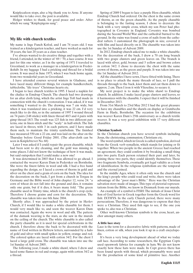Kniplecafeen stops, also a big thank you to Arne. If anyone would like to take over, the post is available.

Holger wishes to thank, for good peace and order. After which we sang "Kniplepigens sang".

### **My life with church textiles**

My name is Inge Funch Kofod, and I am 74 years old. I was trained as a kindergarten teacher, and have worked as such for 38 years, the last 20 years as a class teacher.

I've always wanted to do creative things and together with a friend, I attended, in the winter of '69 / '70, a lace course. It was just for this one winter, as I in the spring of 1971 I traveled to Greenland, to work as a manager in a kindergarten in Frederikshåb. In my luggage I had a pricking and thread for a bridal crown. It was used in June 1973, when I was back home again, from two wonderful years in Greenland.

I have attended courses several winters in Gladsaxe, and have laced many different things, for example handkerchiefs, tablecloths, "life trees" Christmas hearts etc.

I began to lace church textiles in 1995. I laced a napkin for the chalice in Emdrup Church. The church had two drawings for an altar cloth lying, which the artist Inge Toft had made in connection with the church's restoration. I was asked, if it was something I wanted to do. The drawing was 7 cm wide, but when it was translated into a pricking, it was 22 cm. I'd very much like to do this, so in the autumn of 1997 I wound thread on 74 pairs (148 sticks) with linen thread 40/3 and 4 pairs with gimp thread 18/3. The result was 125 fish in two different patterns, one in linen stitch and the "scaly" in half-stitch. The fish are laced in threes, with 3 in each pattern, and I have made them such, to maintain the trinity symbolism. The finished lace measured 550 cm x 22 cm, and was laid on the altar on the Thursday before Good Friday 2001. (The altar-cloth can be seen in Kniplebrevet No. 68)

Later I was asked if I could repair the green chasuble, which had been sent to dry cleaning, and the gold was missing in some places. I did not know the technique of how it was made, but said outspoken that I could make a new one!

It was determined in 2003 that I was allowed to go ahead. I contacted the weaver Karen Dam in Pedersker on Bornholm. She wove the finest fabric in wool and silk. I had a free hand regarding the design, so I laced a crown of thorns in gold and silver on the chest and a grain of corn on the back. The idea for the decoration on the back, I got from a church in Torgau in Germany and the Bible word of John chapter 12, verse 24: "a corn of wheat do not fall into the ground and dies, it remains only one grain, but if it dies, it bears many fold. "The green chasuble used in Trinity time, which is the church's crop cycle. Therefore I choose grains and corn for the decoration. The chasuble was taken into use 6th June 2004.

Shortly after, I was approached by the priest in Herlev Church, if I would like to make a white chasuble for them. I would very much like to, and soon the weaver Karen Dam was contacted. Again she wove in wool and silk. The pattern of the damask weaving is the stars, as she saw in the murals on the ceiling of the church. The white chasuble is also called the party chasuble as it is used for special celebrations in the church. I therefore chose the back to be decorated with the name of God written in Hebrew letters, surrounded by a halo of gold and silver with small spikes in yellow, orange and red. The colored spikes are laced with cotton 34/2. For the chest I laced a large gold cross. The chasuble was taken into use the 1st Sunday of Advent 2005.

The following year, I made a white shawl, where I drew and laced some flames in red and orange, again with cotton 34/2 as a thread.

Spring of 2009 I began to lace a purple Hess chasuble, which Emdrup Church had ordered. On the chest is the same crown of thorns, as on the green chasuble. As the purple chasuble is belonging to the fasting season, I chose to decorate the back with a very simple cross, which my son Peter had photographed in Coventry in England. Coventry was bombed during the Second World War and the cathedral burned to the ground. In the ruins was found a cross of nails from the cathedral rafters. I customized the photograph in size, covered it with film and laced directly on it. The chasuble was taken into use the 1st Sunday of Advent 2009.

In 2012, Emdrup church asked me to make a white chasuble. For the decoration of the back, I drew a 70 cm long branch with two grape clusters and green leaves on. The branch is laced with silver, gold, bronze and 5 yellow and brown colors in cotton 34/2. I chose to decorate the chest with the same crown of thorns, as the green and purple. It was taken into use the 1st Sunday of Advent 2012.

All the chasubles I have sewn, I have fitted with lining. There is no place to attach the many threads of lace, so I pull the threads through to the back, knot them and cut them down to approx. 2 cm. Then I iron it with Vlieseline, to secure it.

My next project is to make the white shawl to Emdrup church. In addition, I make laced grape clusters and leaves, so it harmonizes with the chasuble. I expect that it will be finished in December 2013.

From 31st March to 23rd May 2012 I had the great pleasure to have my chasubles and the shawls on display at Grønbechs Farm in Hasle, Bornholm. The occasion for the exhibition was weaver Karen Dam's 25th anniversary as a church textile weaver. It was a very good exhibition with 17 very different chasubles.

#### **Christian Symbols**

In the Christian church you have several symbols including Jesus, the christening, communion, Christians etc.

The word symbol, which in Greek is called symbolon, derived from the Greek verb symallein, which stands for joining or fit together. When two people in the ancient Greece had reached an agreement, they could confirm it by breaking a small thing into two parts. Each person retained their part and later, by joining these two parts, they could identify themselves. These two fragments Symbola, eventually got legal validity as a form of identification. In the religious symbolism are the temporal and the eternal joined.

In the middle Ages, where it often only was the church and the king's people who could read and write, there were taken advantage of the "poor man's Bible." Here was the Christian salvation story made of images. This type of pictorial representations from the Bible, we know in Denmark from our murals.

An example of a symbol is FISH: The initials of Jesus Christ Son of God Savior in Greek together form the Greek word for fish: IXTHYS. In the early Church period, there were many persecutions. Therefore, it was dangerous to express that they were a Christian. They used fish sign to see, if the one you spoke to, also was a Christian.

Other well-known Christian symbols is the cross, heart, anchor amongst many others.

#### **A little lace story**

Lace is the term for a decorative fabric with patterns, made of linen, cotton or silk, when you look it up in a craft encyclopedia.

It's been a very long development ahead of what we today call lace. According to some researchers, the Egyptian Copts used openwork fabrics for example in hats. We do not know exactly how these hats were made. In Copt graves there has been found spools with thread, which presumably were used for the production of some kind of primitive lace. Another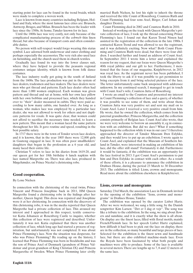starting point for lace can be found in the trend braids, which were made to complete a woven work.

Lace is known from many countries including Belgium, Holland and Italy, where the most famous lace cities are: Brussels, Antwerp, Bruges, and Milan. Brussels has been the leader with lace since the 1500s. At home, Tønder known for its lace.

Until the 1800s lace was very costly, not only because of the complicated manufacturing process of the cobweb thin linen thread, but also because of transport costs and often considerable duties.

No person with self-respect would forgo wearing this status symbol. Lace adorned both underwear and outer clothing and perhaps especially the accessories. The very rich also used lace on furnishing, and the church used them in church textiles.

Gradually lace found its way into the lower classes suit, where they have helped to provide the peasants regional costumes unique identity, which is known from folk dance costumes.

The lace industry really got going in the south of Jutland from the 1600s. The lace production was put in the system of lace dealers, tradesmen and lace makers. The lace dealers were men who got thread and patterns. Each lace dealer often had more than 1.000 women employed. Each woman was given pattern and thread and sat at home, with her own lace pillow with her own bobbins and processed lace, which they handed over to "their" dealer measured in cubits. They were paid according to how many cubits, one handed over. As long as a woman, who makes lace was employed by a particular lace dealer, she was not allowed to work for others and not duplicate patterns for resale. It was quite clear, that women could not afford to sacrifice the necessary time needed, to learn a new pattern. This meant that a woman laced the same pattern throughout her life. It gave routine and speed, resulting in the best possible salary.

In 1717 there were in the town of Tonder seven lace dealers, and it is known, that in the year 1805 there were 12,000 girls in Gauteng engaged in lace. It was often poor smallholders' daughters that began in the profession as a 6 year old, and many laced their entire life.

Christian V refers to lace in his diaries from 1619-20, and our queen got for her 18th birthday 6 lunch napkins with lace named Margrethe on. There was also lace, produced in Møgeltønder, on Prince Nicolai's christening robe.

## **Good cooperation.**

#### By Lone Nielsen

In connection with the christening of the royal twins, Prince Vincent and Princess Josephine back in 2011, HM Queen Margrethe found a christening robe in the hidings after her mother, Queen Ingrid. This dress was repaired and Josephine wore it at her christening. In connection with the discovery of this christening robe, it was in the media reported that Queen Margrethe had a private collection of lace. This aroused my interest and I approached in this respect, textile conservator Katia Johansen at Rosenborg Castle to inquire, whether this collection of lace were registered and described. Unfortunately it was not. Katia explained that there was another collection of lace, which long ago had started a process of registration, but unfortunately was not completed. It was about Prince Flemming's lace. Now the situation was desperate, for who was Prince Flemming? By reading up on the history, I learned that Prince Flemming was born in Stockholm and was the son of Prince Axel of Denmark (grandson of Prince Valdemar and great-grandson of King Christian IX) and Princess Margaretha of Sweden. When Prince Flemming later civilly

Count Flemming died in 2002 and Countess Ruth in 2010.

Instead of working on the track with Queen Margrethe's private collection of lace, I took up the thread concerning Prince Flemming's lace. I found out that Karen Trend Nissen had assisted in the registration of the collection in the late 1980s. I contacted Karen Trend and was allowed to see the registrant, and it was definitely exciting. Now what? Both Count Flemming and Countess Ruth were dead, but there were four children. I searched further and found an address of Count Axel. In September 2011 I wrote him a letter and explained the reason for my request, that our focus were Queen Margrethe's 40th royal jubilee and our gift to her. Furthermore, I mentioned that the focus of our magazine, Kniplebrevet, in 2012 was royal lace. As the registrant never has been published, I took the liberty to ask if it was possible to get permission to bring excerpts from it and bring selected pictures of the lace. The letter unfortunately came back unopened with addressee unknown. In my continued search, I managed to get in touch with Count Axel's wife, Countess Jutta of Rosenborg.

I wrote an email to the Countess and presented my interest in Count Flemming's collection of lace and a query, of whether it was possible to see some of them, and write about them. Countess Jutta was very positive set and sent my mail on to Count Axel. Later I received a very positive email from him. He wrote, that he owned the collection, which comes from his paternal grandmother, Princess Margaretha, and the collection consists primarily of Belgian lace. Count Axel also wrote, that we were very welcome to borrow an assembly it, eg in connection with an exhibition. But did we dare? What if something happened to the collection while it was in our care? I therefore approached the director of Tønder Museum Iben Eslykke, and they would love to put up an exhebition. I wrote again to Count Axel, and explained that the Museum of Southern Jutland in Tønder, were interested in making an exhibition of his lace, did the offer still stand? Fortunately it did. Furthermore it would be fantastic, if the exhibition was an opportunity for the lace festival in 2013. I got Count Axel's permission to put him and Iben Eslykke in contact with each other. As a result of these efforts, it is a pleasure to announce the exhibition in Drøhses House, during the period 23 March to 30 December 2013. The exhibition is titled: Lions, crowns and monograms. Read more about the exhibition elsewhere in Kniplebrevet.

#### **Lions, crowns and monograms**

Saturday 23rd March, the association Lace in Denmark invited to the opening of the exhibition "lions, crowns and monograms" in Drøhses House, Tønder.

The exhibition was opened by the curator Lisbet Hartz. After we were welcomed, we sang a little song, by the Danish songwriter Kim Larsen: "Det er I dag et vejr". The song was like a tribute to the exhibition. In the song, we sing about flowers and sunshine, and it is exactly what the show is all about. On display are the finest laces, filled with floral motifs, mainly French/Flemish lace. In her speech Lisbet Hartz explained, how difficult it had been to pick out the lace on display, there are in the collection, so many beautiful and large pieces of lace. Selected for the exhibition is the finest sewn and handmade lace, but there are also exhibited machine-made lace. Even the Royals have been fascinated by what both people and machines were able to produce. Some of the lace is available in several meters. There are lengths up to 7, 8 and 12 meters of the same lace.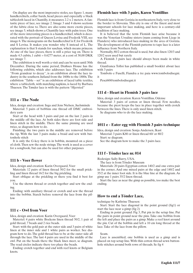On display are the most impressive stoles, see figure 1, many handkerchiefs, collar bards, head pieces and especially a black tablecloth laced in Chantilly, it measures 2.2 x 2 meters. A fantastic piece of lace, see image 2. Image 3 and 4 shows sections of the fabric close to. There are also some more exotic pieces, see image 5, which shows a Chantilly lace with palm trees. One of the more interesting pieces is a handkerchief, which is decorated with the portrait of Queen Lovisa and Frederik VIII, see image 6. The monograms on the handkerchief is F, for Frederik and S Lovisa. It makes you wonder why S instead of L. The explanation is that S stands for saschan, which means princess. At one of the lace pieces, there is still a price tag on. There is made 4.5 cubits, 1 cubit =  $0.6277$  meter, at a cost of 30.00 DKK see image 7.

The exhibition is well worth a visit and can be seen until 30th December. During the same period, Drøhses House has the following exhibits, which also addresses lace. The exhibition "From grandeur to decay", is an exhibition about the lace industry in the southern Jutland from the 1600s to the 1800s. The exhibition "Table – set" is an exhibition of laced table textiles, where a tablecloth, with matching napkins, is laced by Barbara Thuesen. The Tønder lace is with the pattern "Hjersted"

### **111 a - The Node**

Idea, design and creation: Inga and Jens Nielsen, Juelsminde Material: 5 pairs of bobbins one thread off DMC embroidery yarn

Start at the head with 3 pairs and put on the last 2 pairs in the middle off the lace. At both sides there are foot side and linen stitch in the middle. There the same pinning are used twice, se diagram how to do.

Finishing: the two pairs in the middle are removed before the tip. With the last 3 pairs make a braid and sew with buttonhole stitch

It is only the G-key there is in bobbin, mounted on a piece of cloth. Then sew the node strings. The work is used as a cover for a songbook, but can also be used for other purposes

### **111 b - Voer flower**

Idea, design and creation: Karin Overgaard, Voer

Materials: 12 pairs of linen thread 50/2 for the small prickling and linen thread 16/2 for the big prickling.

Start oblique at the prickling or there you find it best for you.

Use the shown thread or crotch together and sew the ending.

Ending: with auxiliary thread or crotch and sew the thread into the bobbin. Starch before removal the lace from the pil- $\log$ 

## **111 c - Owl from Voer**

Idea, design and creation: Karin Overgaard, Voer

Materiel: 4 pairs white Bockens linen thread 50/2, 1 pair of gold thread, 7 beads and 2 rice beads.

Start: with the gold pair at the outer side and 3 pairs of white linen at the inner side and 1 white pairs as worker. See diagram how to do. The gold thread has to be at the outer side all through the lace. The last 4 pairs are used in the middle of the owl. Put on the beads there the black lines meet, se diagram. The read circles indicate there too place the beads.

Ending: crotch together and end with reef knots or Belgium knots

#### **Flemish lace with 3 pairs, Karen Vontillius**

Flemish lace is from Gorizia in northeastern Italy, very close to the border to Slovenia. This city is one of the finest and most important schools for lace making, and here is a century-old tradition of lace making.

It is believed that the term Flemish lace arise because it was the Venetian Ursuline sisters (nuns coming from Liege in Flanders) who introduced lace-making in the area of Gorizia. The development of the Flemish patterns to tape lace is a later influence from Northern Italy.

Normally, 80/2 cotton thread is used, but also linen 120/3 and 120/2 seen used but rarely

A Flemish 3 pairs lace should always been made in white thread.

Gianfranca Tolloi has published a small booklet about lace with 3 pairs

Tombolo e Fuselli, Fiandra a tre paia www.tombolodisegni. it

Pesci60@tombolodisegni.it

## **111 d - Heart in Flemish 3 pairs lace**

Idea, design and creation: Karen Vontillius, Odense

Material: 3 pairs of cotton or linen thread. Few needles, because the picot keeps the lace in place together with crotch between the lines. There is only used linen stitch.

Se diagrams who to do the lace making.

### **1011 e - Eater egg with Flemish 3 pairs technique**

Idea, design and creation: Sonja Andersen, Ikast Material: 3 pairs K80 or linen thread 60/ or 80/2 Start: se diagram. See the diagram how to make the 3 pairs lace.

### **111 f - Tônder lace nr. 014**

Redesign: Sally Barry, USA.

The lace is from Tônder Museum

Materials: 20 pairs Egyptian cotton 140/2 and one extra pair in the corner, And one mixed pairs at the edge and 140/2 and 35/2 at the inner foot side. It is the blue line at the diagram. As gimp use 1 pairs 35/2 linen thread.

Start the lace as near the gimp as possible, too make the best ending.

#### **How to end a Tönder Lace,**

technique by Kathrine Thuesen:

Start: Start the lace diagonal in the point ground (fig1) or start the lace near a gimp (fig 2)

Ending in point ground: Fig 3, Put pin in the setup line. Put the pairs in point ground near the pins. Take one bobbin from the left and place the pairs as a gimp. Make a reef knot around the pin. Cut of the bobbin and left a 10 cm long thread at the lace. Take of the lace from the pillow.

#### Seam.

Lace is assembled; one bobbin is used as a gimp and is placed on top setup line. With thin cotton thread sewn buttonhole stitches around both rows of threads. Se fig 4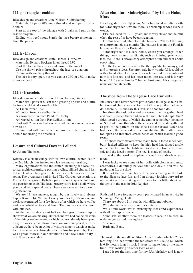# **111 g - Triangle - emblem**

Idea, design and creation: Lone Nielsen, Stubbekøbing

Materials: 18 pairs 40/2 linen thread and one pair of small bobbins

Start at the top of the triangle with 2 pairs and put on the rest, se diagram.

Ending with reef knots, Starch the lace before removing it from the pillow.

## **111 h - Flacon**

Idea, design and creation: Bente Hansen, Horbelev

Materials: 20 pairs Bockens linen thread 35/2

Start the lace in the corner and move to the middle.

Use the shown twists throughout the lace, see diagram. Ending with auxiliary thread.

The lace is very open, but you can use 28/2 or 35/2 to make it more closed

## **111 i - Bracelets**

Idea, design and creation: Lene Holm Hansen, Tônder

Materials: 4 pairs at 80 cm for a growing op size and a little les for at child. And a small bobbin

A! Linen thread 16/2

A": cotton from Ravtedhus 1mm

A3: waxed cotton from Panduro Hobby

A4: waxed cotton from Ravstedhus 1 mm

Start with 2 pairs with at loop around the bobbin, se diagram how to do

Ending: end with linen stitch and use the hole to put in the bobbin for closing the bracelets.

# **Leisure and Cultural Days in Lolland.**

By Anette Thomsen

Købelev is a small village with its own cultural center. Saturday 2nd March they invited to a leisure and cultural day.

Many organizations use the center, including the local historical archives, furniture posting, cycling, billiard club and last but not least our lace group. The center also houses an exercise room. The organizers had invited The Garden Association, a Forrest kindergarten, Købelev parish council, sports clubs and the pensioners club. The local grocery store had a stall, where you could taste special beers. There scene was set for an exciting afternoon.

We are 13 lace makers, taught by our lovely and always happy Karen Høj. We meet every Wednesday afternoon, and work concentrated for a few hours, after which we have coffee and cake, whilst we talk and laugh. Then we work a little more with our lace.

At the culture day, about half our lace group turned up to show what we are making. Beforehand we had collected some of the things we've created - which had not already been given away. It was a great show. Even we were surprised, at how diligent we have been. A lot of visitors came to watch us make lace. Karen had also brought a lace pillow, for you to try. There was a great interest in our exhibition and a few dared to try it out. It was a good day.

## **Altar cloth for "Støberigården" by Lilian Holm, Mors**

Elsa Bøgedal from Nykøbing Mors has laced an altar cloth for "Støberigården", where there is a worship service every 2 weeks.

Elsa has laced for 12-13 years, and is very clever and helpful when the rest of us have been struggling.

For this beautiful altar cloth, she has spent 200 to 300 hours, or approximately six months. The pattern is from the Finnish lacemaker Eeva-Liisa Kortelahti.

"Støberigården" is a care home, where you amongst other things, meets around handicraft, such as knitting, patchwork, lace, etc. There is always cozy atmosphere, fun and chat about everything.

Grethe Larsen is the head of the therapy. She has many good and interesting ideas. She often said how wonderful it could be with a laced altar cloth. Soon Elsa volunteered for the job, and now it is finished, and has been taken into use, and it is very beautiful. "Svane broderi" has embroidered Elsa Bøgedals name on the tablecloth.

# **The shoe from The Slagelse Lace Fair 2012.**

Ina Jensen had never before participated in Slagelse fair's exhibition task, but when she, for the 25th year jubilee had made dolls from A - Z, she saw this task, as a shoe for a doll.

Ina drew the task twice and put sewed them together, heel and front. Opened them and drew the sole. Then she split the 2 sides, laced a ground, of which she cannot remember the name of. She had filling threads at the edges, and those she gathered as part of the pattern on the shoe's outer surface. When she had laced the shoe sides, Ina thought that the pattern was too open and therefore sewed beads on, which leaved a good result.

The shoes bottom/soles were made from a laced inner sole, but it lacked stiffness to keep the high heel. Ina clipped a sole of the metal around tea lights, and used it in between the inner sole and the laced bottom. The heel is made of beads.

To make the work complete, a small nice shoebox was made.

I was lucky to see some of her dolls with clothes and misc. accessories. I definitely believe that one day, a doll will be made, that fits the shoe.

It is not the last time Ina will be participating in the task to the Slagelse lace fair, and I'm already looking forward to see what she'll be making next. I was told a little about her thoughts to the task in 2013 Rejoice.

Ruth and I have for, many years, participated in an activity in Stenmagle Village Hall.

There are about 12-14 stands, with different hobbies.

We exhibited a variety of our laced items.

We sit and work, whilst exchanging ideas and experiences with all the happy people.

Some ask, whether there are lessons in lace in the area, in order to get started making lace.

Sincerely,

Ruth and Bente

The work in the middle is "Store Anke" double which is 2 meters long. The lace around the tablecloth is "Lille Anke" which is 6.40 meters long. It took 3 years to make, but at the same time, I was working on other laces as well.

I used it for the first time for my 75th birthday, and is now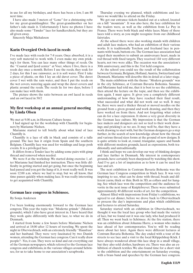in use for all my birthdays, and there has been a few, I am 88 next time.

I have also made 3 meters of "Lone" for a christening robe for my great-granddaughter. The great-grandmother on her father's side made it. Unfortunately I have no photos I have also made some "Tønder" lace for handkerchiefs, but they are all given away.

Sincerely Maja Michalesen

## **Karin Overgård Owls laced in reeds**

I've made lace with reeds for 7-8 years. Once absorbed, it is a very soft material to work with. I even make my own pricking's for them. You can lace many other things of reeds. On the "Coastal and fjord center" at Voer, where I live, there is a reeds day once a month. Before I use the reeds, they soak for 2 days, for this I use rainwater, as it is soft water. First I take a piece of plastic, on this I lay an old duvet cover. The duvet cover I wet with the rain water, and then I put the reeds on the wet covers, watering again and wrap the duvet covers and plastic around the reeds. The reeds lie for two days, before I can make lace with them.

The picture shows the ratio between an owl laced in reeds and an owl laced in 50/2

#### **My first workshop at an annual general meeting by Linda Olsen**

We met at 9.00 a.m. in Horsens Culture house.

I had signed up for the workshop with Chantilly for beginners by Marianne Nielsen.

Marianne started to tell briefly about what kind of lace Chantilly is.

Chantilly is a lace of silk in black and consists of a tulle ground. The lace has it origin from Spain and the southern Belgium. Chantilly lace was used for weddings and large posh events. It is a privileged lace.

It differs from a Tonder lace by adding some pairs with gimp thread and removed when needed.

We were 8 at the workshop. We started doing exercise 1, after Marianne had finished her instruction. There was little difficulty in getting started and get going, but once the beginning had passed and you got the hang of it, it went really well. It was soon 12:00 a.m. where we had to stop, but we all know, that time passes quickly when making lace. It was really interesting to get acquainted with Chantilly.

## **German lace congress in Schönsee.**

By Sonja Andersen

I've been looking enormously forward to the German lace congress. This year the topic was "Moderne gründe" (Modern grounds), which I also have great interest in. I have heard that they work quite differently with their lace, to what we do in Denmark.

I started from home a few hours before Marianne Nielsen and arrived at 18:00 after 12 hours of traveling. We spent the night in Oberviechtach, with an extremely friendly "Hausfrau" and her husband. They were very fascinated by two Danish women, attending the German lace congress. Can it really draw people? -Yes, it can. They were so kind and cut everything out of the German newspapers, which referred to the German lace congress and exhibitions, in the various villages around Schönsee, for us to take home to our association's scrapbooks.

Thursday evening we planned, which exhibitions and lectures we would like to attend on the Friday.

We got our entrance tickets handed out at a school, located on a hill "mountain". It was also here, the lace exhibition for the traders were, as well as the exhibition from Le Puy in France. There were both black and white laces. Many of these laces told a story, as you might recognize from our childhood fairytales.

At the school there were also working stands with children and adult lace makers, who had an exhibition of their various works. It is traditionally Torchon and freehand lace in pennants with beads, buttons etc. The German lace association had urged their members to submit an anniversary heart, made in red thread with fixed targets. They received 144 very different hearts, not two were alike. The occasion was the association's 30th anniversary, and this is the 31st held congress.

At the school you could see the result of the collaboration between Germany, Belgium, Holland, Austria, Switzerland and Denmark. Marianne will describe this in detail at a later stage.

The main exhibition with the theme: "Modern grounds" was in the city Schönsee, at Centrum Bavaria Bohemia. Susanne and Marianne had told me, that it is best to see the exhibition, then attend the lecture on the topic, and then see the exhibition again. I must agree. It gives you a completely different understanding of how they have reached their final result, what succeeded and what did not work out so well. It may be, there were used a thicker thread or moved needles on the ground from a given ground and work drawing, and then they have worked on from there. And not forgetting what colors can do for a lace expression. It shows a very great diversity in the German lace culture. My impression is that the German lace makers and designers are not so tied to their work drawings and pricking's as we are. It may well be, that they have a work drawing to start with, but the German designers go a step further, in the search of new knowledge about how the thread and various thread sizes forms at the ground of new designs. It is quite artistic to look at, round, triangular, square and bands with different modern grounds, laced as expressions, both traditionally and untraditionally.

I think and hope we can develop our way of thinking designs and lace further in Denmark. My interest in contemporary grounds, have certainly been sharpened by watching this show. And I've got a lot of inspiration as to how it can be used for lace and art.

The next exhibition in Centrum Bavaria Bohemia was the German lace Congress competition in black lace. It was very inspiring to see, what can be done with thread, beads and different yarns, thick or thin. Both in 3D, as collars and for hanging. See which lace won the competition and the audience favorite in the next issue of Kniplebrevet. There were submitted approximately 40 different works of art, for the competition.

Almost filled with impressions from Friday's exhibitions, we agreed to eat dinner, before we drove back to Oberviechtach to process the day's impressions and plan which exhibitions and lectures to attend Saturday.

Saturday started with an exhibition in Oberviechtach, we thought it was the local lace group who had made the variety of lace, but we found out it was one lady, who had produced it all. Then we went back to Schönsee. At the fire station, there was an exhibition about Johanna Harre, a woman who makes lace ahead of her contemporaries. You're will be reading more about her later. Again there were different lectures at Centrum Bavaria Bohemia. The day ended with a tour of the streets to see lace and a visit to the local Klöppelshop Köck. I have always wondered about this lace shop in a small village, but they also sold clothes, hardware etc. There was also an exhibition of church textiles. We also found time for a short visit to the exhibition and the entertainment on Saturday evening, with a brass band and speeches by the German lace congress.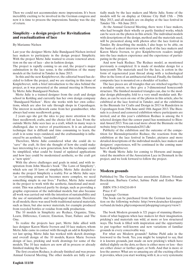Then we could not accommodate more impressions. It's been incredibly exciting to be involved in the German congress and now it is time to process the impressions. Sunday was the day of return.

## **Simplicity - a design project for Revitalization and reactualization of lace**

#### By Marianne Nielsen

Last year the designer Mette Julie Bundgaard-Nielsen invited lace makers to participate in the design project Simplicity. With the project Mette Julie wanted to create renewed attention on the use of lace - also in fashion design.

The project is rapidly coming to an end, the project's major culmination in the lace sense, is the exhibition of the many models at the festival in Tønder in June 2013.

In this and the next Kniplebrevet, the editorial board has decided to follow the project, and we are starting in this issue of Kniplebrevet, with a brief introduction to the idea behind the project, as it was presented at the annual meeting in Horsens by Mette Julie Bundgaard-Nielsen.

Mette Julie is a trained designer from the craft and design school in Kolding and currently has her own design company "Bundgaard-Nielsen". Here she works with her own collections, which are also for sale through shops in Copenhagen. The interest in needlework came from her grandmother, who always had some needlework going.

2 years ago she got the idea to pay more attention to the finer needlework crafts, and the choice fell on lace. From the outside Mette Julie sees lace as a craft, which in many ways is challenged, due to waiver of practitioners. It is an advanced technique that is difficult and time consuming to learn, the craft is in some ways outdated, and the craftsmanship is influenced by an aesthetic "standstill".

Therefore, Mette Julie considered what she could do to "save" the craft. At first she thought of how she could make lace interesting for a new generation, how the technique could be simplified, what could be found of updated applications and how lace could be modernized aesthetic, so the craft got a "new spirit".

With the above challenges and goals in mind, and with inspiration from John Maeda's book "The Laws of Simplicity", which sets out 10 laws of simplicity, Mette Julie decided to make the project Simplicity a reality. For as Mette Julie says: "as everything around us becomes more complex, we need something simple in our lives." Further, Mette Julie wanted in the project to work with the aesthetic, functional and modernist. This was achieved partly by design, such as providing a graphic expression of the individual models, but also because all work was carried out with the intention of sustainability and the use of sustainable and technological materials. Therefore in all models, there was used both traditional natural materials, such as linen, but also newer materials, for example produced from recycled bottles or residue from milk production.

The 10 models in Simplicity are Reduce, Organize, Time, Learn, Difference, Context, Emotion, Trust, Failure and The One.

To realize the projects lace part, Mette Julie allied with lace designer Karen Marie Iversen and 10 lace makers, whom Mette Julie came in contact with through an add in Kniplebrevet last spring. Mette Julie has worked with sketch drawings and overall design of the 10 models, Karen Marie Iversen design of lace, pricking and work drawings for some of the models. The 10 lace makers are now all in process or already finished making the laces.

The first creation Reduce, is already finished and was presen Annual General Meeting. The other models are fully or par-

tially made by the lace makers and Mette Julie. Some of the models will be on display at Odense City Hall 15th – 29th May 2013, and all models are on display at the lace festival in Tønder 7th – 9th June 2013.

At the Annual General Meeting, there were 4 lace makers, who had brought their wholly or partly finished works, which can be seen on the photos in this article. The individual models with descriptions of the design, method and the materials used, will be presented along with photos after the lace festival in Tønder. By describing the models, I also hope to be able, on the basis of a short interview with each of the lace makers and Karen Marie Iversen, to give Kniplebrevets readers insight into the lace makers experience and the experience of participating in the project.

And now back Reduce. The Reduce model, as mentioned previously is completed. It is made of modular design for a honeycomb. The materials used for the lace, is cotton in the form of regenerated jean thread along with a technological fiber in the form of an antibacterial thread. Finally, the finished composite lace is mounted on a shoulder of leather.

The lace pieces are all triangles that are stitched together by a modular system, so they give a 3-dimensional honeycomb structure. The finished mounted triangles can, due to the modular design philosophy, fold to a very small modular unit. Reduce, as can be seen on one of the photos in this article, also be exhibited at the lace festival in Tønder, and at the exhibition in the Biennale for Crafts and Design in 2013 in Rundetårn in Copenhagen from 29th June until 18th August 2013. The Biennale is a closed and censored exhibition where participants are invited, and at this year's exhibition Reduce is among the 6 selected designs that the censor panel has nominated to Biennial Award 2013. You can read more about the Biennale on the website http://www.biennalen2013.dk/

Publicity of the exhibition and the outcome of the competition for Biennaleprisenfor Reduce, the reactions from the exhibition at the lace festival in Tønder, pictures and more detailed descriptions of the individual models, lace makers and designers' experiences, will be continued in the coming numbers of Kniplebrevet.

We thank Mette Julie for coming to Horsens and inaugurated the members of the Association Lace in Denmark in the project, and we look forward to follow the project.

## **Modern grounds**

Published by: The German lace association. Editors: Yolanda Beeckman, Barbara Corbet, Sabine Pichl and Esther Wanzereid

ISBN: 978-3-934210-89-9 Price: € 47

Language: German

The book can be purchased from the German lace association on the following website: http://www.deutscher-kloeppelverband.de/index.php/component/jshopping/category/view/1

The book Modern grounds is 321 pages of stunning illustrations of what happens when lace makers let their imagination, pricking's and materials run wild, at more or less structured ways. The book is filled with inspiration and the opportunity to put together well-known and new variations of familiar grounds in every conceivable way.

For what are Modern grounds? Sabine Pichl asks in the foreword to the book. Yes, you might be tempted to say, that it is known grounds, just made on new pricking's which have shifted slightly on the dots, so there is either more or less - they are either closer or farther apart, or both. And that is more or less the answer. What are so amazing are all the exciting effects it provides, when you start working with it, in a very systematic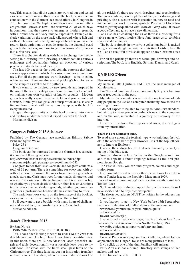way. This means that all the details are worked out and tested - some with more success than others. The book is published in connection with the German lace associations 31st Congress in 2013. In more than 26 chapters countless variations on different grounds - known as new – are reviewed. All of which have in common, that they prove to emerge as modern grounds, with a brand new and very unique expression. Examples include variations on the more basic wild ground, where half and cloth stitches used alternately and opposite when you lace the return. Basic variations on pagode grounds, the diagonal pearl grounds, the ladders, and how to get new forms of expression into a Milanese lace.

There is a chapter dealing with how to change the needle setting in a drawing for a pricking, another contains various techniques and yet another brings an overview of various products to starch lace and their use.

The last 100 pages of the book contain patterns that have various applications in which the various modern grounds are used. For all the patterns are work drawings - some in color, others are not. There are also several pricking's, both for some of the samples as well as to the patterns.

If you want to be inspired by new grounds and inspired in the use of them - or perhaps even want inspiration to embark on making your own variation of known grounds - Modern grounds is really a good investment. Even if you cannot read German, I think you can get a lot of inspiration and also easily find out how to work with the various examples, as the book is richly illustrated.

So grab the opportunity with this book to enter into a new and exciting modern lace world. Good luck with the book.

Marianne Nielsen

## **Congress Folder 2013 Schönsee**

Published by: The German lace association. Editors: Sabine Pichl and Sylvia Wilke

Price: 25 €

Language: German

The book can be purchased from the German lace association on the following website:

http://www.deutscher-kloeppelverband.de/index.php/ component/jshopping/category/view/6?Itemid=242

Congress folder from 31st German lace congress contains a total of 31 patterns. There is something for everyone, with or without colored drawings. It ranges from modern grounds of angels, stars and Christmas trees for mermaids, silhouettes and scarves. The variation in the techniques used, is at least as big, so whether you prefer classic torchon, ribbon lace or variations in this year's theme: Modern grounds, whether you are a beginner or a professional, has booklet has something to offer.

The variation shows clearly on the front page of the booklet, as seen in the picture or more clearly on the website.

So if you want to get a booklet with many hours of challenging and varied lace, the possibility is here. Good luck.

Marianne Nielsen

### **Jana's Christmas 2013**

By Jana Novak

ISBN 978-87-90277-22-2. Price 180,00 DKK

This, I have been looking forward to since I was in Zwischen den Meeren last October. There I saw Jana's beautiful birds. In this book, there are 12 new ideas for laced peacocks, angels and table decorations. It was a nostalgic look, back to my childhood Christmas, with the finest small glass birds on the Christmas tree. This time Jana has got her inspiration from her mother, who is full of ideas, when it comes to decorations. For

all the pricking's there are work drawings and specifications. The book contains, besides photos of lace, work drawings and pricking's, also a section with instruction in, how to read and understand the work drawing symbols. Personally I look forward to getting acquainted with Moravia Gimp wire - it leaves a good effect and gives lace a new dimension.

Jana also has a challenge for us, as there is a pricking for a table runner without motive. Here Jana urges us to combine shapes and techniques.

The book is already in my private collection, but it is tucked away, when my daughters visit me - this time I wish to be selfish - Jana's beautiful birds shall appear on my Christmas tree first.

For all the pricking's there are technique, drawings and descriptions. The book is in English, German, Danish and Czech

### **KNIPLEC@feen**

#### **New manager**

My name is Ulla Djurhuus and I am the new manager of Kniplecafeen.

I'm 70 + and have laced for approximately 30 years, but now not as frequent as in the past.

My interest in computers is reflected in my teaching of elderly people in the use of a computer, including how to use the exciting Internet.

I do not expect to be able to live up to Arne Jerx standard, but will try to make you, who perhaps is new to the computer and on the web, interested in a journey of discovery of the internet.

However, I do hope that experienced users, also will gain from my information.

#### **There is Lace festival in June.**

To read more about the festival, type www.kniplings-festival. dk in the address bar of your browser - it's at the top left corner of Internet Explorer.

Click on the address bar, the text gets blue and you can type on top of the blue text.

You can also write lace festival in the Google search box, and then appears Tønder kniplings-festival as the first proposal from Google.

Tab Festival 2013 you can find program, courses and registration form.

For those interested in history, there is mention of an exhibition of Tonder lace at the Brooklyn Museum in 1929.

www.brooklynmuseum.org/opencollection/exhibitions/2845/ Tonder Lace

Such an address is almost impossible to write correctly, so I have shortened it to tinyurl.com/d2p79xf

The shortened address MUST be written in the address bar without www.

If you happen to get to New York before 15th September, there is an exhibition of quilted items at the museum, see

www.brooklynmuseum.org/exhibitions/quilts/

abbreviated to

tinyurl.com/boatjzo

I have found a really nice page, that is all about lace from

Patricia - Patty Ann, who lives in North Carolina, USA

www.dbwebdesign.com/pattyann/pattyann.html abbreviated to

tinyurl.com/dxxklf2

Look at Patty Ann's page on Lace Galleries, where for example under the Harper House are many pictures of lace.

If you click on one of the thumbnails, it will enlarge.

Patty Ann also has a Stamp Directory with stamps of lace makers and lace

Have fun on the web UDU